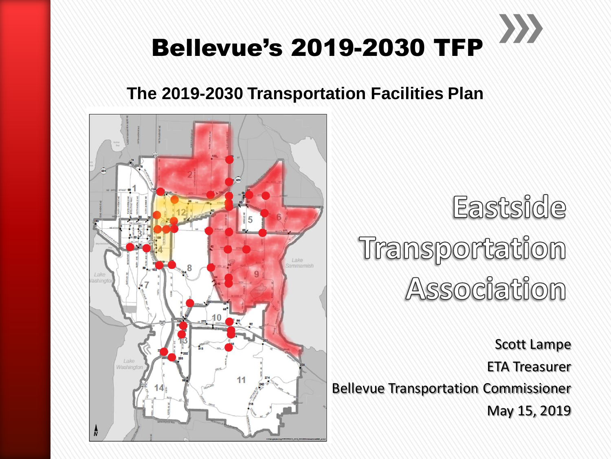

#### **The 2019-2030 Transportation Facilities Plan**



Eastside Transportation Association

Scott Lampe ETA Treasurer Bellevue Transportation Commissioner May 15, 2019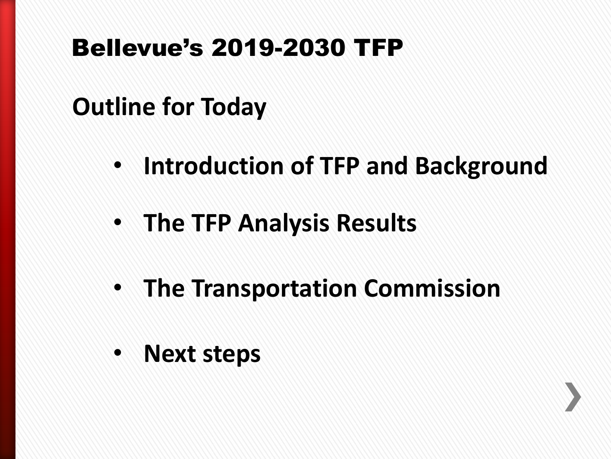#### **Outline for Today**

- **Introduction of TFP and Background**
- **The TFP Analysis Results**
- **The Transportation Commission**
- **Next steps**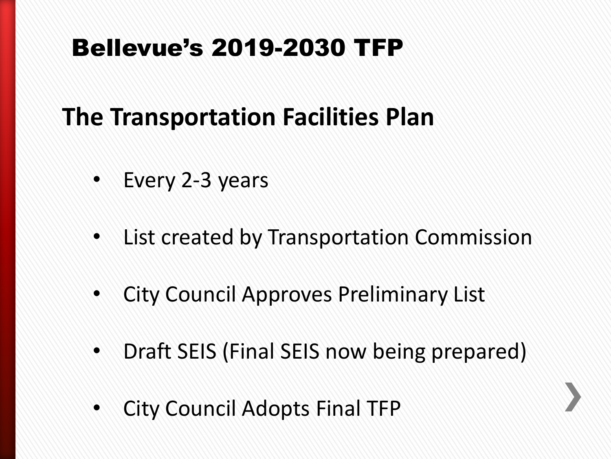## **The Transportation Facilities Plan**

- Every 2-3 years
- List created by Transportation Commission
- City Council Approves Preliminary List
- Draft SEIS (Final SEIS now being prepared)
- City Council Adopts Final TFP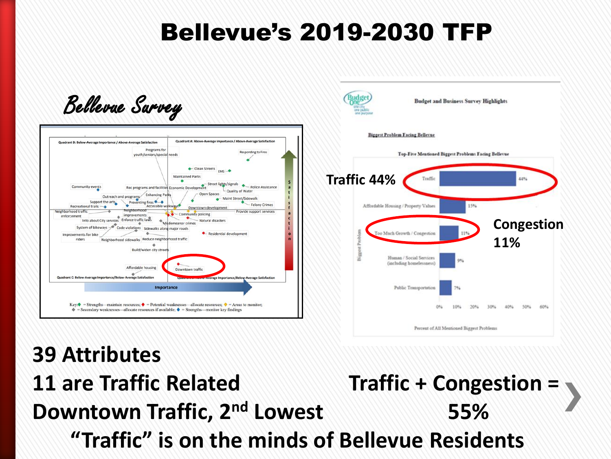



# **39 Attributes**

#### **11 are Traffic Related Traffic + Congestion =**  $\sqrt{ }$ **Downtown Traffic, 2nd Lowest 55% "Traffic" is on the minds of Bellevue Residents**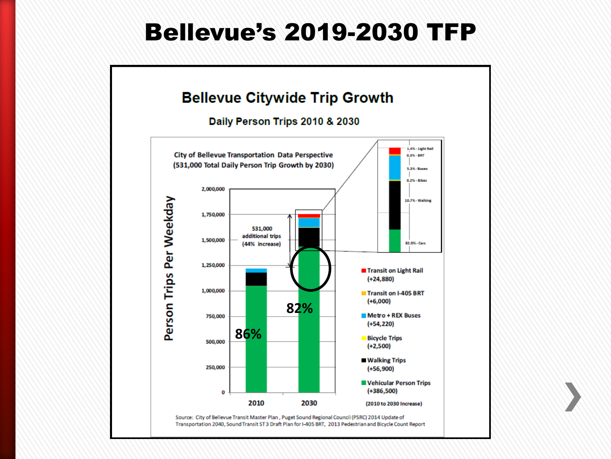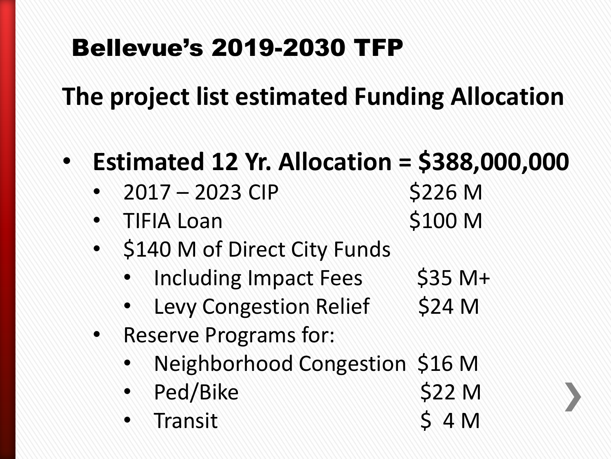**The project list estimated Funding Allocation**

- **Estimated 12 Yr. Allocation = \$388,000,000**
	- 2017 2023 CIP \$226 M
	- TIFIA Loan \$100 M
	- \$140 M of Direct City Funds
		- Including Impact Fees  $$35\ M+$
		- Levy Congestion Relief \$24 M
	- Reserve Programs for:
		- Neighborhood Congestion \$16 M
		- Ped/Bike \$22 M
		- Transit  $\sim$  5 4 M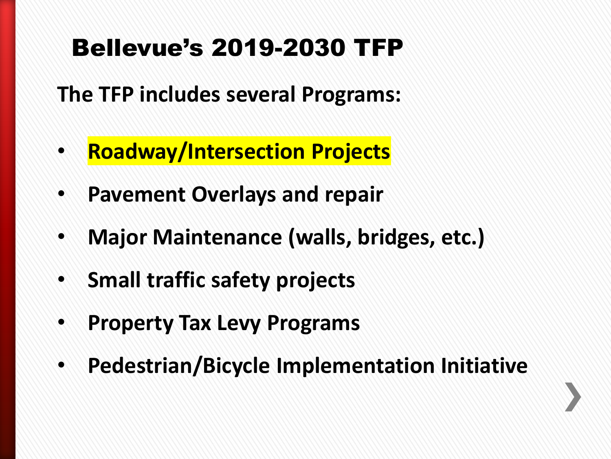**The TFP includes several Programs:**

- **Roadway/Intersection Projects**
- **Pavement Overlays and repair**
- **Major Maintenance (walls, bridges, etc.)**
- **Small traffic safety projects**
- **Property Tax Levy Programs**
- **Pedestrian/Bicycle Implementation Initiative**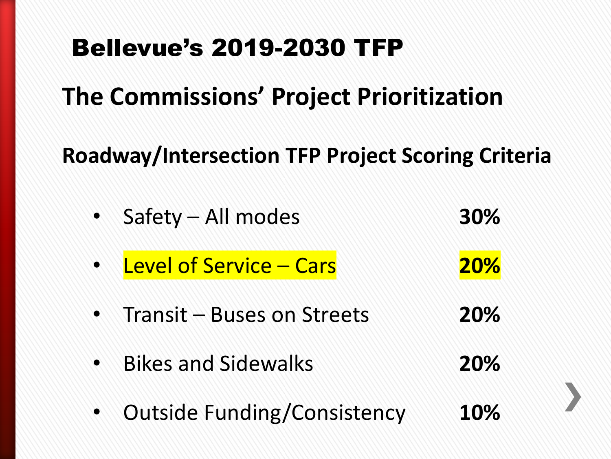## **The Commissions' Project Prioritization**

#### **Roadway/Intersection TFP Project Scoring Criteria**

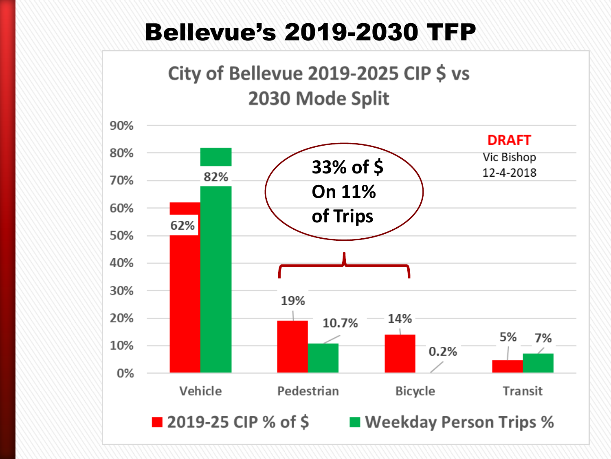#### City of Bellevue 2019-2025 CIP \$ vs 2030 Mode Split

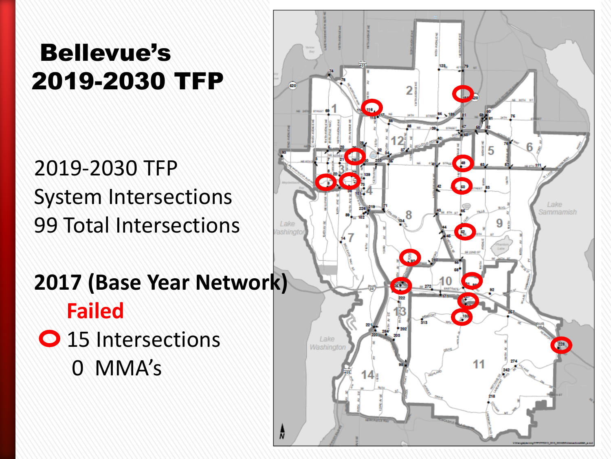#### 2019-2030 TFP System Intersections 99 Total Intersections

#### **2017 (Base Year Network) Failed**

O 15 Intersections 0 MMA's

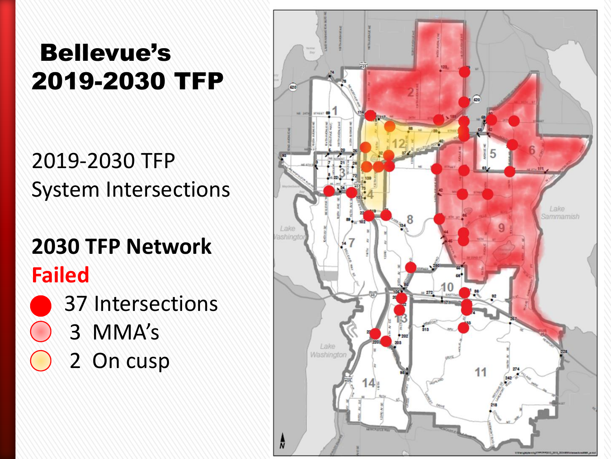#### 2019-2030 TFP System Intersections

#### **2030 TFP Network Failed**



- 3 MMA's
	- 2 On cusp

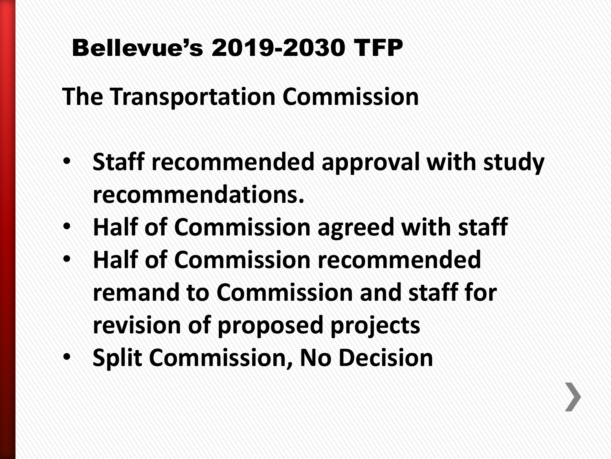**The Transportation Commission**

- **Staff recommended approval with study recommendations.**
- **Half of Commission agreed with staff**
- **Half of Commission recommended remand to Commission and staff for revision of proposed projects**
- **Split Commission, No Decision**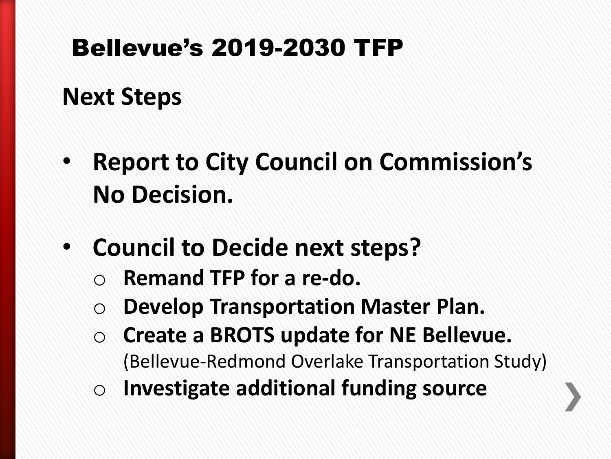#### **Next Steps**

- **Report to City Council on Commission's No Decision.**
- **Council to Decide next steps?**
	- Remand TFP for a re-do.
	- o **Develop Transportation Master Plan.**
	- o **Create a BROTS update for NE Bellevue.** (Bellevue-Redmond Overlake Transportation Study)
	- o **Investigate additional funding source**